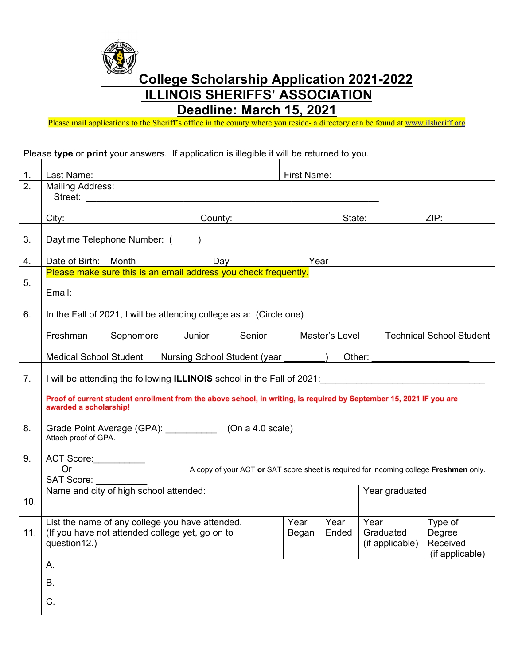**College Scholarship Application 2021-2022 ILLINOIS SHERIFFS' ASSOCIATION** 

**Deadline: March 15, 2021** 

Please mail applications to the Sheriff's office in the county where you reside- a directory can be found at www.ilsheriff.org

|     | Please type or print your answers. If application is illegible it will be returned to you.                                                    |               |                |                                      |                                                  |
|-----|-----------------------------------------------------------------------------------------------------------------------------------------------|---------------|----------------|--------------------------------------|--------------------------------------------------|
| 1.  | Last Name:                                                                                                                                    | First Name:   |                |                                      |                                                  |
| 2.  | <b>Mailing Address:</b>                                                                                                                       |               |                |                                      |                                                  |
|     | City: City: County: County: County: State:                                                                                                    |               |                |                                      | ZIP:                                             |
|     |                                                                                                                                               |               |                |                                      |                                                  |
| 3.  |                                                                                                                                               |               |                |                                      |                                                  |
| 4.  | Date of Birth: Month<br>Day                                                                                                                   | Year          |                |                                      |                                                  |
| 5.  | Please make sure this is an email address you check frequently.                                                                               |               |                |                                      |                                                  |
|     | Email:                                                                                                                                        |               |                |                                      |                                                  |
| 6.  | In the Fall of 2021, I will be attending college as a: (Circle one)                                                                           |               |                |                                      |                                                  |
|     | Freshman<br>Sophomore Junior<br>Senior                                                                                                        |               | Master's Level |                                      | <b>Technical School Student</b>                  |
|     | Medical School Student Nursing School Student (year ) Other:                                                                                  |               |                |                                      |                                                  |
| 7.  | I will be attending the following <b>ILLINOIS</b> school in the Fall of 2021:                                                                 |               |                |                                      |                                                  |
|     | Proof of current student enrollment from the above school, in writing, is required by September 15, 2021 IF you are<br>awarded a scholarship! |               |                |                                      |                                                  |
| 8.  | Grade Point Average (GPA): ______________ (On a 4.0 scale)<br>Attach proof of GPA.                                                            |               |                |                                      |                                                  |
| 9.  | ACT Score:                                                                                                                                    |               |                |                                      |                                                  |
|     | <b>Or</b><br>A copy of your ACT or SAT score sheet is required for incoming college Freshmen only.<br><b>SAT Score:</b>                       |               |                |                                      |                                                  |
|     | Name and city of high school attended:                                                                                                        |               |                | Year graduated                       |                                                  |
| 10. |                                                                                                                                               |               |                |                                      |                                                  |
| 11. | List the name of any college you have attended.<br>(If you have not attended college yet, go on to<br>question12.)                            | Year<br>Began | Year<br>Ended  | Year<br>Graduated<br>(if applicable) | Type of<br>Degree<br>Received<br>(if applicable) |
|     | А.                                                                                                                                            |               |                |                                      |                                                  |
|     | <b>B.</b>                                                                                                                                     |               |                |                                      |                                                  |
|     | C.                                                                                                                                            |               |                |                                      |                                                  |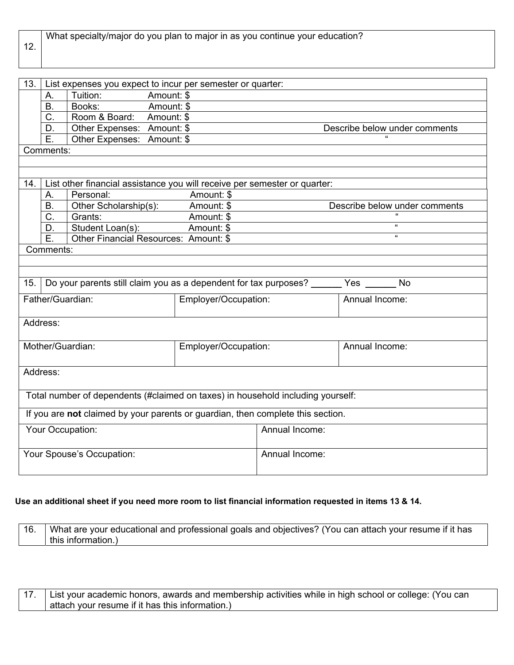| 12. |    |               | What specialty/major do you plan to major in as you continue your education? |  |
|-----|----|---------------|------------------------------------------------------------------------------|--|
| 13. |    |               | List expenses you expect to incur per semester or quarter:                   |  |
|     | Α. | Tuition:      | Amount: \$                                                                   |  |
|     | В. | Books:        | Amount: \$                                                                   |  |
|     | C. | Room & Board: | Amount: \$                                                                   |  |

E. | Other Expenses: Amount: \$ Comments:

| 14. |                     |                                       | List other financial assistance you will receive per semester or quarter: |                               |
|-----|---------------------|---------------------------------------|---------------------------------------------------------------------------|-------------------------------|
|     | А.                  | Personal:                             | Amount: \$                                                                |                               |
|     | <b>B.</b>           | Other Scholarship(s):                 | Amount: \$                                                                | Describe below under comments |
|     | $\sim$<br>U.        | Grants:                               | Amount: \$                                                                | "                             |
|     | D.                  | Student Loan(s):                      | Amount: \$                                                                | "                             |
|     | Е.                  | Other Financial Resources: Amount: \$ |                                                                           | "                             |
|     | C <sub>approx</sub> |                                       |                                                                           |                               |

D. Other Expenses: Amount: \$ Describe below under comments

Comments:

| 15.              | Do your parents still claim you as a dependent for tax purposes?<br>No<br>Yes |                      |                |  |
|------------------|-------------------------------------------------------------------------------|----------------------|----------------|--|
| Father/Guardian: |                                                                               | Employer/Occupation: | Annual Income: |  |
|                  | Address:                                                                      |                      |                |  |

| Mother/Guardian:                                                                | Employer/Occupation: |                | Annual Income: |
|---------------------------------------------------------------------------------|----------------------|----------------|----------------|
|                                                                                 |                      |                |                |
| Address:                                                                        |                      |                |                |
|                                                                                 |                      |                |                |
| Total number of dependents (#claimed on taxes) in household including yourself: |                      |                |                |
| If you are not claimed by your parents or guardian, then complete this section. |                      |                |                |
| Your Occupation:                                                                |                      | Annual Income: |                |
|                                                                                 |                      |                |                |
| Your Spouse's Occupation:                                                       |                      | Annual Income: |                |
|                                                                                 |                      |                |                |

#### **Use an additional sheet if you need more room to list financial information requested in items 13 & 14.**

| 16. | What are your educational and professional goals and objectives? (You can attach your resume if it has |
|-----|--------------------------------------------------------------------------------------------------------|
|     | this information.)                                                                                     |

17. List your academic honors, awards and membership activities while in high school or college: (You can attach your resume if it has this information.)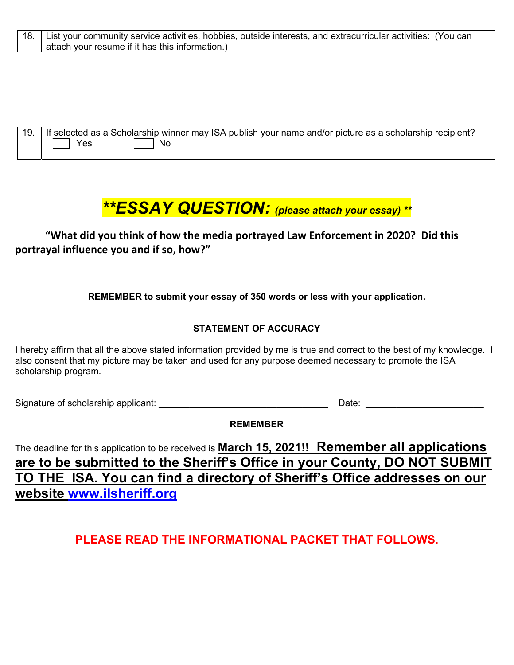| 18. List your community service activities, hobbies, outside interests, and extracurricular activities: (You can |  |
|------------------------------------------------------------------------------------------------------------------|--|
| attach your resume if it has this information.)                                                                  |  |

| 19.   If selected as a Scholarship winner may ISA publish your name and/or picture as a scholarship recipient? |
|----------------------------------------------------------------------------------------------------------------|
| ∣ No                                                                                                           |

### *\*\*ESSAY QUESTION: (please attach your essay) \*\**

**"What did you think of how the media portrayed Law Enforcement in 2020? Did this portrayal influence you and if so, how?"**

**REMEMBER to submit your essay of 350 words or less with your application.** 

#### **STATEMENT OF ACCURACY**

I hereby affirm that all the above stated information provided by me is true and correct to the best of my knowledge. I also consent that my picture may be taken and used for any purpose deemed necessary to promote the ISA scholarship program.

Signature of scholarship applicant: \_\_\_\_\_\_\_\_\_\_\_\_\_\_\_\_\_\_\_\_\_\_\_\_\_\_\_\_\_\_\_\_\_ Date: \_\_\_\_\_\_\_\_\_\_\_\_\_\_\_\_\_\_\_\_\_\_\_

**REMEMBER** 

The deadline for this application to be received is **March 15, 2021!! Remember all applications are to be submitted to the Sheriff's Office in your County, DO NOT SUBMIT TO THE ISA. You can find a directory of Sheriff's Office addresses on our website www.ilsheriff.org** 

**PLEASE READ THE INFORMATIONAL PACKET THAT FOLLOWS.**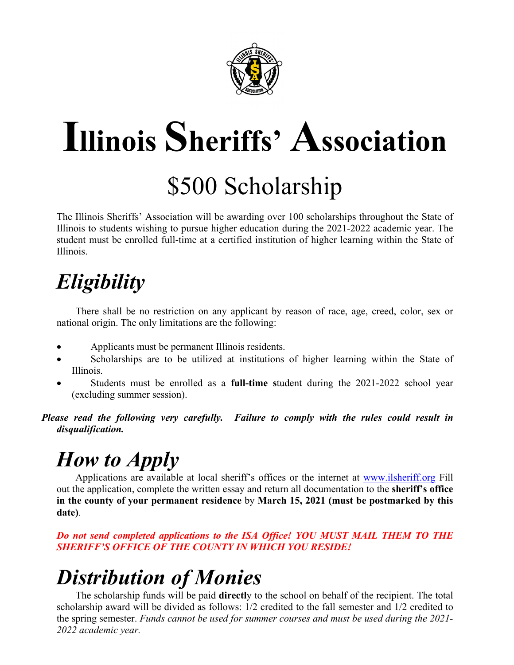

# **Illinois Sheriffs' Association** \$500 Scholarship

The Illinois Sheriffs' Association will be awarding over 100 scholarships throughout the State of Illinois to students wishing to pursue higher education during the 2021-2022 academic year. The student must be enrolled full-time at a certified institution of higher learning within the State of Illinois.

## *Eligibility*

 There shall be no restriction on any applicant by reason of race, age, creed, color, sex or national origin. The only limitations are the following:

- Applicants must be permanent Illinois residents.
- Scholarships are to be utilized at institutions of higher learning within the State of Illinois.
- Students must be enrolled as a **full-time s**tudent during the 2021-2022 school year (excluding summer session).

*Please read the following very carefully. Failure to comply with the rules could result in disqualification.* 

# *How to Apply*

Applications are available at local sheriff's offices or the internet at www.ilsheriff.org Fill out the application, complete the written essay and return all documentation to the **sheriff's office in the county of your permanent residence** by **March 15, 2021 (must be postmarked by this date)**.

#### *Do not send completed applications to the ISA Office! YOU MUST MAIL THEM TO THE SHERIFF'S OFFICE OF THE COUNTY IN WHICH YOU RESIDE!*

## *Distribution of Monies*

 The scholarship funds will be paid **directl**y to the school on behalf of the recipient. The total scholarship award will be divided as follows: 1/2 credited to the fall semester and 1/2 credited to the spring semester. *Funds cannot be used for summer courses and must be used during the 2021- 2022 academic year.*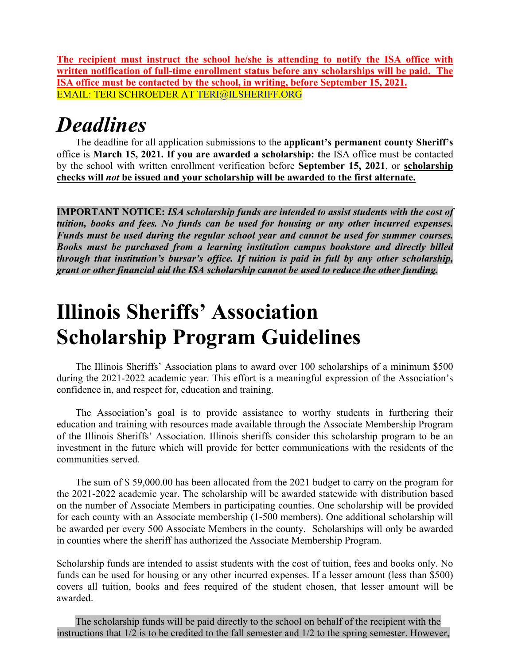**The recipient must instruct the school he/she is attending to notify the ISA office with written notification of full-time enrollment status before any scholarships will be paid. The ISA office must be contacted by the school, in writing, before September 15, 2021.**  EMAIL: TERI SCHROEDER AT TERI@ILSHERIFF.ORG

### *Deadlines*

 The deadline for all application submissions to the **applicant's permanent county Sheriff's** office is **March 15, 2021. If you are awarded a scholarship: t**he ISA office must be contacted by the school with written enrollment verification before **September 15, 2021**, or **scholarship checks will** *not* **be issued and your scholarship will be awarded to the first alternate.** 

**IMPORTANT NOTICE:** *ISA scholarship funds are intended to assist students with the cost of tuition, books and fees. No funds can be used for housing or any other incurred expenses. Funds must be used during the regular school year and cannot be used for summer courses. Books must be purchased from a learning institution campus bookstore and directly billed through that institution's bursar's office. If tuition is paid in full by any other scholarship, grant or other financial aid the ISA scholarship cannot be used to reduce the other funding.* 

### **Illinois Sheriffs' Association Scholarship Program Guidelines**

 The Illinois Sheriffs' Association plans to award over 100 scholarships of a minimum \$500 during the 2021-2022 academic year. This effort is a meaningful expression of the Association's confidence in, and respect for, education and training.

 The Association's goal is to provide assistance to worthy students in furthering their education and training with resources made available through the Associate Membership Program of the Illinois Sheriffs' Association. Illinois sheriffs consider this scholarship program to be an investment in the future which will provide for better communications with the residents of the communities served.

 The sum of \$ 59,000.00 has been allocated from the 2021 budget to carry on the program for the 2021-2022 academic year. The scholarship will be awarded statewide with distribution based on the number of Associate Members in participating counties. One scholarship will be provided for each county with an Associate membership (1-500 members). One additional scholarship will be awarded per every 500 Associate Members in the county. Scholarships will only be awarded in counties where the sheriff has authorized the Associate Membership Program.

Scholarship funds are intended to assist students with the cost of tuition, fees and books only. No funds can be used for housing or any other incurred expenses. If a lesser amount (less than \$500) covers all tuition, books and fees required of the student chosen, that lesser amount will be awarded.

 The scholarship funds will be paid directly to the school on behalf of the recipient with the instructions that 1/2 is to be credited to the fall semester and 1/2 to the spring semester. However,